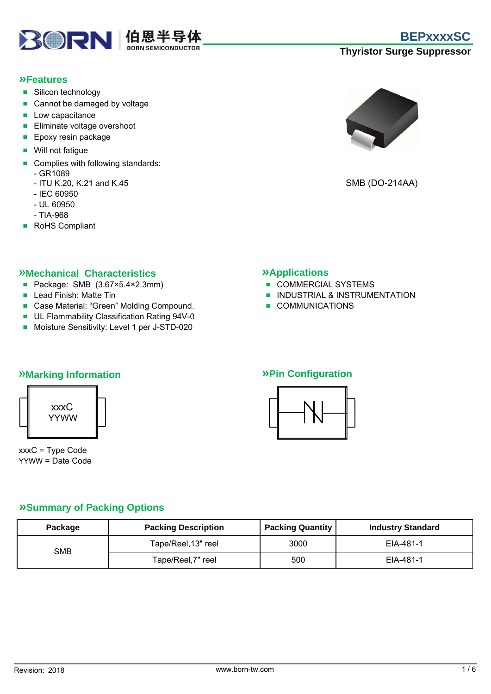

#### **»Features**

- Silicon technology
- Cannot be damaged by voltage
- Low capacitance
- Eliminate voltage overshoot
- Epoxy resin package
- Will not fatique
- Complies with following standards:
	- GR1089
	- ITU K.20, K.21 and K.45
	- IEC 60950
	- UL 60950
	- TIA-968
- RoHS Compliant



SMB (DO-214AA)

#### »**Mechanical Characteristics »Applications**

- Package: SMB (3.67×5.4×2.3mm) COMMERCIAL SYSTEMS
- 
- Case Material: "Green" Molding Compound. COMMUNICATIONS
- UL Flammability Classification Rating 94V-0
- Moisture Sensitivity: Level 1 per J-STD-020

- 
- Lead Finish: Matte Tin INDUSTRIAL & INSTRUMENTATION
	-

## »**Marking Information »Pin Configuration**



xxxC = Type Code YYWW = Date Code



#### **»Summary of Packing Options**

| Package | <b>Packing Description</b> | <b>Packing Quantity</b> | <b>Industry Standard</b> |  |
|---------|----------------------------|-------------------------|--------------------------|--|
|         | Tape/Reel, 13" reel        | 3000                    | EIA-481-1                |  |
| SMB     | Tape/Reel,7" reel          | 500                     | EIA-481-1                |  |

## **Thyristor Surge Suppressor**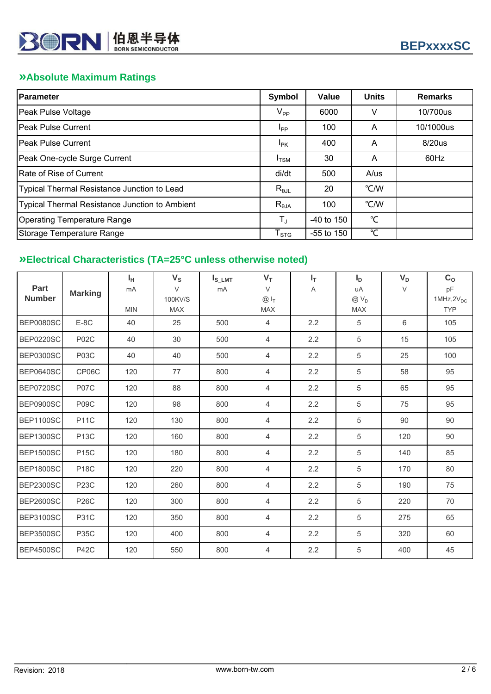## **»Absolute Maximum Ratings**

| <b>Parameter</b>                                      | Symbol                     | Value        | <b>Units</b> | <b>Remarks</b> |
|-------------------------------------------------------|----------------------------|--------------|--------------|----------------|
| Peak Pulse Voltage                                    | $\mathsf{V}_{\mathsf{PP}}$ | 6000         | V            | 10/700us       |
| <b>IPeak Pulse Current</b>                            | <b>I</b> pp                | 100          | A            | 10/1000us      |
| IPeak Pulse Current                                   | <sup>I</sup> PK            | 400          | A            | 8/20us         |
| Peak One-cycle Surge Current                          | $I_{\text{TSM}}$           | 30           | A            | 60Hz           |
| Rate of Rise of Current                               | di/dt                      | 500          | A/us         |                |
| Typical Thermal Resistance Junction to Lead           | $R_{\theta$ JL             | 20           | °C/W         |                |
| <b>Typical Thermal Resistance Junction to Ambient</b> | $R_{\theta$ JA             | 100          | °C/W         |                |
| <b>Operating Temperature Range</b>                    | $T_{\rm J}$                | $-40$ to 150 | °C           |                |
| Storage Temperature Range                             | $I_{STG}$                  | $-55$ to 150 | °C           |                |

## **»Electrical Characteristics (TA=25°C unless otherwise noted)**

| <b>Part</b><br><b>Number</b> | <b>Marking</b> | $I_H$<br>mA<br><b>MIN</b> | $V_{\rm S}$<br>$\vee$<br>100KV/S<br><b>MAX</b> | $I_{S\_LMT}$<br>mA | $V_T$<br>$\vee$<br>$@I_{T}$<br><b>MAX</b> | $I_T$<br>A | $I_{\rm D}$<br>uA<br>$@V_D$<br><b>MAX</b> | $V_D$<br>V | C <sub>o</sub><br>pF<br>$1MHz,2V_{DC}$<br><b>TYP</b> |
|------------------------------|----------------|---------------------------|------------------------------------------------|--------------------|-------------------------------------------|------------|-------------------------------------------|------------|------------------------------------------------------|
| <b>BEP0080SC</b>             | $E-8C$         | 40                        | 25                                             | 500                | $\overline{4}$                            | 2.2        | 5                                         | 6          | 105                                                  |
| <b>BEP0220SC</b>             | <b>P02C</b>    | 40                        | 30                                             | 500                | 4                                         | 2.2        | 5                                         | 15         | 105                                                  |
| <b>BEP0300SC</b>             | P03C           | 40                        | 40                                             | 500                | $\overline{4}$                            | 2.2        | 5                                         | 25         | 100                                                  |
| <b>BEP0640SC</b>             | CP06C          | 120                       | 77                                             | 800                | 4                                         | 2.2        | 5                                         | 58         | 95                                                   |
| <b>BEP0720SC</b>             | <b>P07C</b>    | 120                       | 88                                             | 800                | 4                                         | 2.2        | 5                                         | 65         | 95                                                   |
| BEP0900SC                    | P09C           | 120                       | 98                                             | 800                | 4                                         | 2.2        | 5                                         | 75         | 95                                                   |
| <b>BEP1100SC</b>             | <b>P11C</b>    | 120                       | 130                                            | 800                | 4                                         | 2.2        | 5                                         | 90         | 90                                                   |
| <b>BEP1300SC</b>             | <b>P13C</b>    | 120                       | 160                                            | 800                | 4                                         | 2.2        | 5                                         | 120        | 90                                                   |
| <b>BEP1500SC</b>             | <b>P15C</b>    | 120                       | 180                                            | 800                | 4                                         | 2.2        | 5                                         | 140        | 85                                                   |
| <b>BEP1800SC</b>             | <b>P18C</b>    | 120                       | 220                                            | 800                | 4                                         | 2.2        | 5                                         | 170        | 80                                                   |
| <b>BEP2300SC</b>             | <b>P23C</b>    | 120                       | 260                                            | 800                | 4                                         | 2.2        | 5                                         | 190        | 75                                                   |
| <b>BEP2600SC</b>             | <b>P26C</b>    | 120                       | 300                                            | 800                | 4                                         | 2.2        | 5                                         | 220        | 70                                                   |
| <b>BEP3100SC</b>             | <b>P31C</b>    | 120                       | 350                                            | 800                | 4                                         | 2.2        | 5                                         | 275        | 65                                                   |
| <b>BEP3500SC</b>             | <b>P35C</b>    | 120                       | 400                                            | 800                | $\overline{4}$                            | 2.2        | 5                                         | 320        | 60                                                   |
| <b>BEP4500SC</b>             | <b>P42C</b>    | 120                       | 550                                            | 800                | 4                                         | 2.2        | 5                                         | 400        | 45                                                   |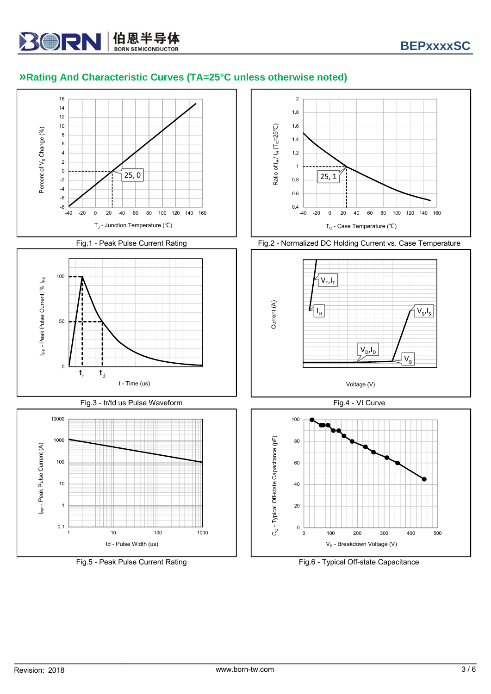# **»Rating And Characteristic Curves (TA=25°C unless otherwise noted)**

**30RN 伯恩半导体** 



Fig.5 - Peak Pulse Current Rating Fig.6 - Typical Off-state Capacitance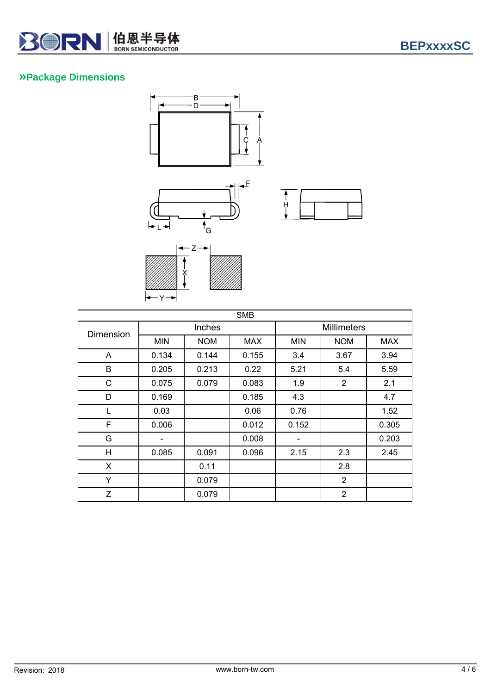

#### **»Package Dimensions**





|                                        | G                                         |
|----------------------------------------|-------------------------------------------|
| Ž<br>Ÿ<br>Ÿ<br>Ÿ<br>$\bigg/$<br>Ÿ<br>Γ | Γ<br>Γ<br>Γ<br>Γ<br>Ÿ<br>Γ<br>Ÿ<br>Γ<br>Ÿ |

| <b>SMB</b>       |                          |            |            |                              |                |       |  |
|------------------|--------------------------|------------|------------|------------------------------|----------------|-------|--|
| <b>Dimension</b> | Inches                   |            |            | <b>Millimeters</b>           |                |       |  |
|                  | <b>MIN</b>               | <b>NOM</b> | <b>MAX</b> | <b>MIN</b>                   | <b>NOM</b>     | MAX.  |  |
| A                | 0.134                    | 0.144      | 0.155      | 3.4                          | 3.67           | 3.94  |  |
| B                | 0.205                    | 0.213      | 0.22       | 5.21                         | 5.4            | 5.59  |  |
| C                | 0.075                    | 0.079      | 0.083      | 1.9                          | $\overline{2}$ | 2.1   |  |
| D                | 0.169                    |            | 0.185      | 4.3                          |                | 4.7   |  |
| L                | 0.03                     |            | 0.06       | 0.76                         |                | 1.52  |  |
| F                | 0.006                    |            | 0.012      | 0.152                        |                | 0.305 |  |
| G                | $\overline{\phantom{a}}$ |            | 0.008      | $\qquad \qquad \blacksquare$ |                | 0.203 |  |
| H                | 0.085                    | 0.091      | 0.096      | 2.15                         | 2.3            | 2.45  |  |
| X                |                          | 0.11       |            |                              | 2.8            |       |  |
| Y                |                          | 0.079      |            |                              | 2              |       |  |
| Z                |                          | 0.079      |            |                              | $\overline{2}$ |       |  |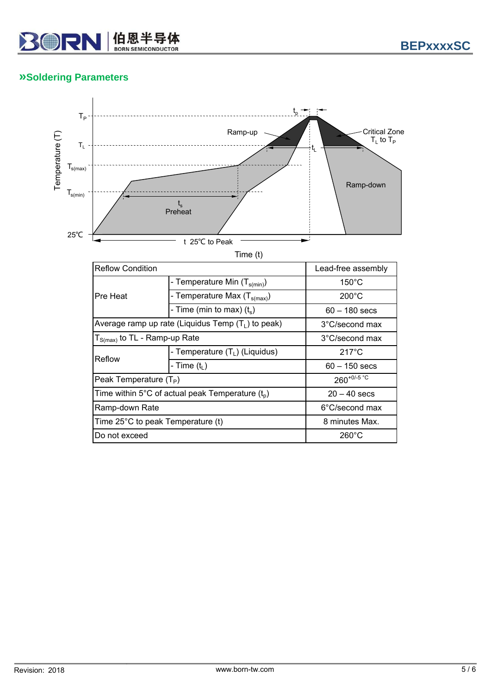

### **»Soldering Parameters**



Time (t)

| <b>Reflow Condition</b>                            | Lead-free assembly                                   |                 |  |
|----------------------------------------------------|------------------------------------------------------|-----------------|--|
|                                                    | - Temperature Min (T <sub>s(min)</sub> )             | $150^{\circ}$ C |  |
| Pre Heat                                           | - Temperature Max (T <sub>s(max)</sub> )             | $200^{\circ}$ C |  |
|                                                    | - Time (min to max) $(t_s)$                          | $60 - 180$ secs |  |
|                                                    | Average ramp up rate (Liquidus Temp $(T_1)$ to peak) | 3°C/second max  |  |
|                                                    | $T_{S(max)}$ to TL - Ramp-up Rate                    |                 |  |
| Reflow                                             | - Temperature $(T_L)$ (Liquidus)                     | $217^{\circ}$ C |  |
|                                                    | - Time $(t1)$                                        | $60 - 150$ secs |  |
| Peak Temperature $(T_P)$                           | $260^{+0/5}$ °C                                      |                 |  |
| Time within 5°C of actual peak Temperature $(t_0)$ | $20 - 40$ secs                                       |                 |  |
| Ramp-down Rate                                     | 6°C/second max                                       |                 |  |
| Time 25°C to peak Temperature (t)                  | 8 minutes Max.                                       |                 |  |
| Do not exceed                                      |                                                      | $260^{\circ}$ C |  |